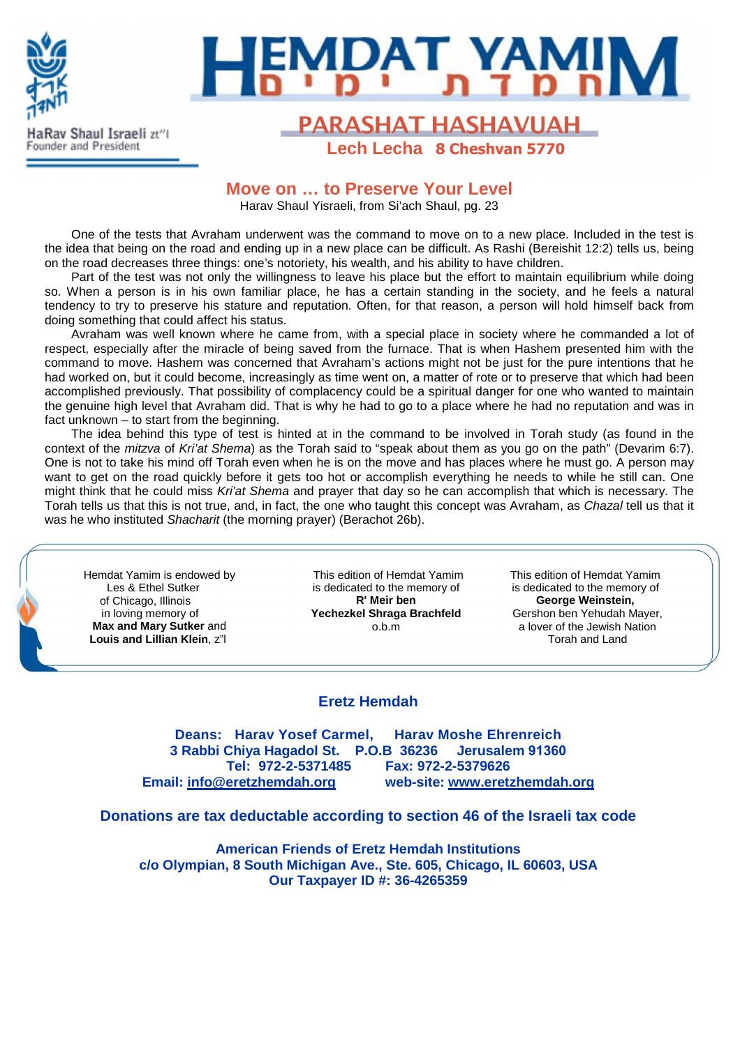

# **BUAT YAM**

## **PARASHAT HASHAVUAH Lech Lecha 8 Cheshvan 5770**

## **Move on … to Preserve Your Level**

Harav Shaul Yisraeli, from Si'ach Shaul, pg. 23

One of the tests that Avraham underwent was the command to move on to a new place. Included in the test is the idea that being on the road and ending up in a new place can be difficult. As Rashi (Bereishit 12:2) tells us, being on the road decreases three things: one's notoriety, his wealth, and his ability to have children.

Part of the test was not only the willingness to leave his place but the effort to maintain equilibrium while doing so. When a person is in his own familiar place, he has a certain standing in the society, and he feels a natural tendency to try to preserve his stature and reputation. Often, for that reason, a person will hold himself back from doing something that could affect his status.

Avraham was well known where he came from, with a special place in society where he commanded a lot of respect, especially after the miracle of being saved from the furnace. That is when Hashem presented him with the command to move. Hashem was concerned that Avraham's actions might not be just for the pure intentions that he had worked on, but it could become, increasingly as time went on, a matter of rote or to preserve that which had been accomplished previously. That possibility of complacency could be a spiritual danger for one who wanted to maintain the genuine high level that Avraham did. That is why he had to go to a place where he had no reputation and was in fact unknown – to start from the beginning.

The idea behind this type of test is hinted at in the command to be involved in Torah study (as found in the context of the mitzva of Kri'at Shema) as the Torah said to "speak about them as you go on the path" (Devarim 6:7). One is not to take his mind off Torah even when he is on the move and has places where he must go. A person may want to get on the road quickly before it gets too hot or accomplish everything he needs to while he still can. One might think that he could miss Kri'at Shema and prayer that day so he can accomplish that which is necessary. The Torah tells us that this is not true, and, in fact, the one who taught this concept was Avraham, as Chazal tell us that it was he who instituted Shacharit (the morning prayer) (Berachot 26b).

 Hemdat Yamim is endowed by Les & Ethel Sutker of Chicago, Illinois in loving memory of  **Max and Mary Sutker** and  **Louis and Lillian Klein**, z"l

This edition of Hemdat Yamim is dedicated to the memory of **R' Meir ben Yechezkel Shraga Brachfeld** o.b.m

This edition of Hemdat Yamim is dedicated to the memory of **George Weinstein,**  Gershon ben Yehudah Mayer, a lover of the Jewish Nation Torah and Land

## **Eretz Hemdah**

**Deans: Harav Yosef Carmel, Harav Moshe Ehrenreich 3 Rabbi Chiya Hagadol St. P.O.B 36236 Jerusalem 91360 Tel: 972-2-5371485 Fax: 972-2-5379626 Email: info@eretzhemdah.org web-site: www.eretzhemdah.org**

**Donations are tax deductable according to section 46 of the Israeli tax code** 

**American Friends of Eretz Hemdah Institutions c/o Olympian, 8 South Michigan Ave., Ste. 605, Chicago, IL 60603, USA Our Taxpayer ID #: 36-4265359**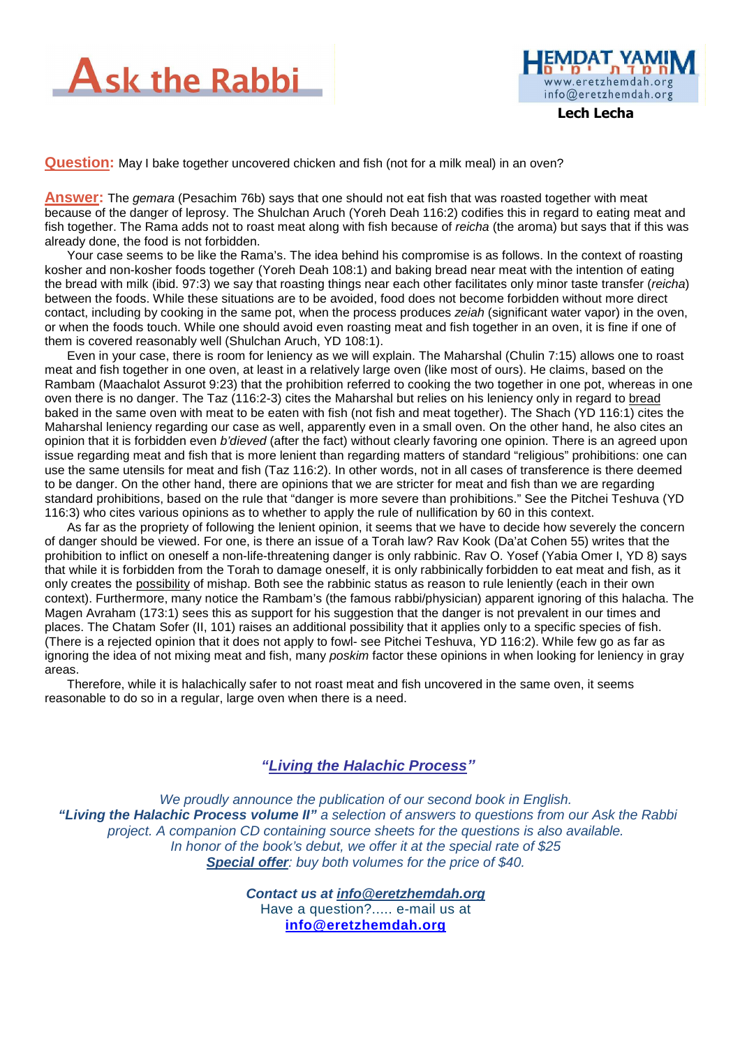



 **Lech Lecha** 

**Question:** May I bake together uncovered chicken and fish (not for a milk meal) in an oven?

**Answer:** The gemara (Pesachim 76b) says that one should not eat fish that was roasted together with meat because of the danger of leprosy. The Shulchan Aruch (Yoreh Deah 116:2) codifies this in regard to eating meat and fish together. The Rama adds not to roast meat along with fish because of *reicha* (the aroma) but says that if this was already done, the food is not forbidden.

Your case seems to be like the Rama's. The idea behind his compromise is as follows. In the context of roasting kosher and non-kosher foods together (Yoreh Deah 108:1) and baking bread near meat with the intention of eating the bread with milk (ibid. 97:3) we say that roasting things near each other facilitates only minor taste transfer (reicha) between the foods. While these situations are to be avoided, food does not become forbidden without more direct contact, including by cooking in the same pot, when the process produces zeiah (significant water vapor) in the oven, or when the foods touch. While one should avoid even roasting meat and fish together in an oven, it is fine if one of them is covered reasonably well (Shulchan Aruch, YD 108:1).

Even in your case, there is room for leniency as we will explain. The Maharshal (Chulin 7:15) allows one to roast meat and fish together in one oven, at least in a relatively large oven (like most of ours). He claims, based on the Rambam (Maachalot Assurot 9:23) that the prohibition referred to cooking the two together in one pot, whereas in one oven there is no danger. The Taz (116:2-3) cites the Maharshal but relies on his leniency only in regard to bread baked in the same oven with meat to be eaten with fish (not fish and meat together). The Shach (YD 116:1) cites the Maharshal leniency regarding our case as well, apparently even in a small oven. On the other hand, he also cites an opinion that it is forbidden even b'dieved (after the fact) without clearly favoring one opinion. There is an agreed upon issue regarding meat and fish that is more lenient than regarding matters of standard "religious" prohibitions: one can use the same utensils for meat and fish (Taz 116:2). In other words, not in all cases of transference is there deemed to be danger. On the other hand, there are opinions that we are stricter for meat and fish than we are regarding standard prohibitions, based on the rule that "danger is more severe than prohibitions." See the Pitchei Teshuva (YD 116:3) who cites various opinions as to whether to apply the rule of nullification by 60 in this context.

As far as the propriety of following the lenient opinion, it seems that we have to decide how severely the concern of danger should be viewed. For one, is there an issue of a Torah law? Rav Kook (Da'at Cohen 55) writes that the prohibition to inflict on oneself a non-life-threatening danger is only rabbinic. Rav O. Yosef (Yabia Omer I, YD 8) says that while it is forbidden from the Torah to damage oneself, it is only rabbinically forbidden to eat meat and fish, as it only creates the possibility of mishap. Both see the rabbinic status as reason to rule leniently (each in their own context). Furthermore, many notice the Rambam's (the famous rabbi/physician) apparent ignoring of this halacha. The Magen Avraham (173:1) sees this as support for his suggestion that the danger is not prevalent in our times and places. The Chatam Sofer (II, 101) raises an additional possibility that it applies only to a specific species of fish. (There is a rejected opinion that it does not apply to fowl- see Pitchei Teshuva, YD 116:2). While few go as far as ignoring the idea of not mixing meat and fish, many *poskim* factor these opinions in when looking for leniency in gray areas.

Therefore, while it is halachically safer to not roast meat and fish uncovered in the same oven, it seems reasonable to do so in a regular, large oven when there is a need.

#### **"Living the Halachic Process***"*

We proudly announce the publication of our second book in English.  **"Living the Halachic Process volume II"** a selection of answers to questions from our Ask the Rabbi project. A companion CD containing source sheets for the questions is also available. In honor of the book's debut, we offer it at the special rate of \$25 **Special offer:** buy both volumes for the price of \$40.

> **Contact us at info@eretzhemdah.org** Have a question?..... e-mail us at **info@eretzhemdah.org**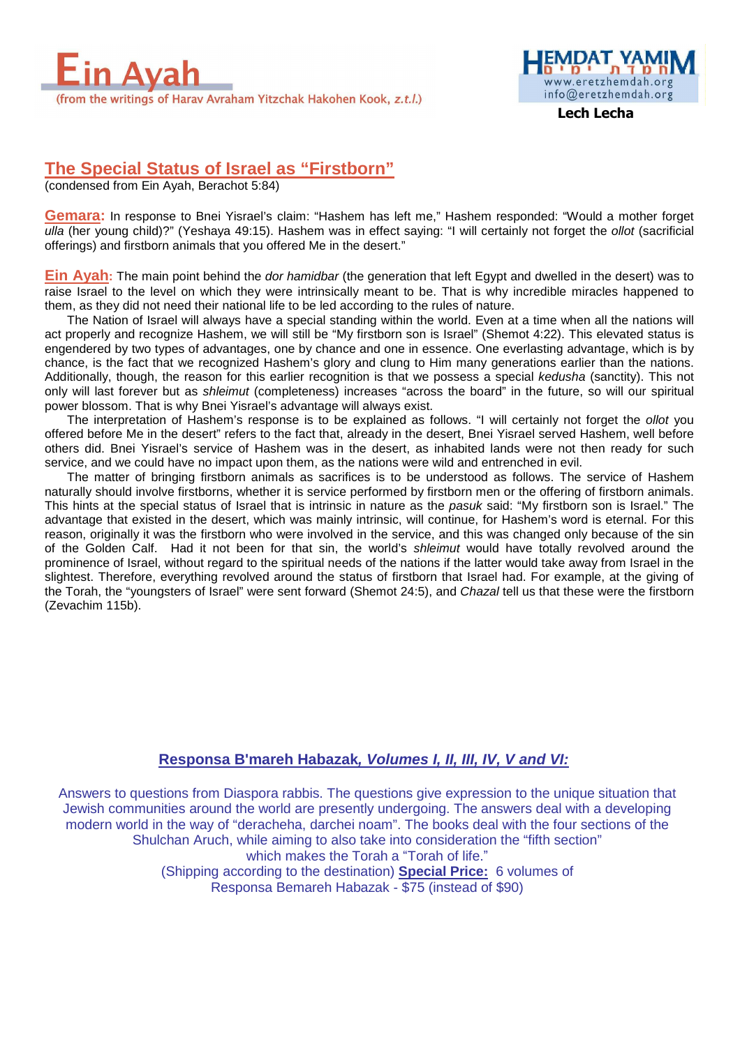

www.eretzhemdah.org info@eretzhemdah.org

 **Lech Lecha** 

## **The Special Status of Israel as "Firstborn"**

(condensed from Ein Ayah, Berachot 5:84)

**Gemara:** In response to Bnei Yisrael's claim: "Hashem has left me," Hashem responded: "Would a mother forget ulla (her young child)?" (Yeshaya 49:15). Hashem was in effect saying: "I will certainly not forget the ollot (sacrificial offerings) and firstborn animals that you offered Me in the desert."

**Ein Ayah:** The main point behind the dor hamidbar (the generation that left Egypt and dwelled in the desert) was to raise Israel to the level on which they were intrinsically meant to be. That is why incredible miracles happened to them, as they did not need their national life to be led according to the rules of nature.

The Nation of Israel will always have a special standing within the world. Even at a time when all the nations will act properly and recognize Hashem, we will still be "My firstborn son is Israel" (Shemot 4:22). This elevated status is engendered by two types of advantages, one by chance and one in essence. One everlasting advantage, which is by chance, is the fact that we recognized Hashem's glory and clung to Him many generations earlier than the nations. Additionally, though, the reason for this earlier recognition is that we possess a special kedusha (sanctity). This not only will last forever but as shleimut (completeness) increases "across the board" in the future, so will our spiritual power blossom. That is why Bnei Yisrael's advantage will always exist.

The interpretation of Hashem's response is to be explained as follows. "I will certainly not forget the *ollot* you offered before Me in the desert" refers to the fact that, already in the desert, Bnei Yisrael served Hashem, well before others did. Bnei Yisrael's service of Hashem was in the desert, as inhabited lands were not then ready for such service, and we could have no impact upon them, as the nations were wild and entrenched in evil.

The matter of bringing firstborn animals as sacrifices is to be understood as follows. The service of Hashem naturally should involve firstborns, whether it is service performed by firstborn men or the offering of firstborn animals. This hints at the special status of Israel that is intrinsic in nature as the pasuk said: "My firstborn son is Israel." The advantage that existed in the desert, which was mainly intrinsic, will continue, for Hashem's word is eternal. For this reason, originally it was the firstborn who were involved in the service, and this was changed only because of the sin of the Golden Calf. Had it not been for that sin, the world's shleimut would have totally revolved around the prominence of Israel, without regard to the spiritual needs of the nations if the latter would take away from Israel in the slightest. Therefore, everything revolved around the status of firstborn that Israel had. For example, at the giving of the Torah, the "youngsters of Israel" were sent forward (Shemot 24:5), and Chazal tell us that these were the firstborn (Zevachim 115b).

#### **Responsa B'mareh Habazak, Volumes I, II, III, IV, V and VI:**

Answers to questions from Diaspora rabbis. The questions give expression to the unique situation that Jewish communities around the world are presently undergoing. The answers deal with a developing modern world in the way of "deracheha, darchei noam". The books deal with the four sections of the Shulchan Aruch, while aiming to also take into consideration the "fifth section" which makes the Torah a "Torah of life." (Shipping according to the destination) **Special Price:** 6 volumes of Responsa Bemareh Habazak - \$75 (instead of \$90)